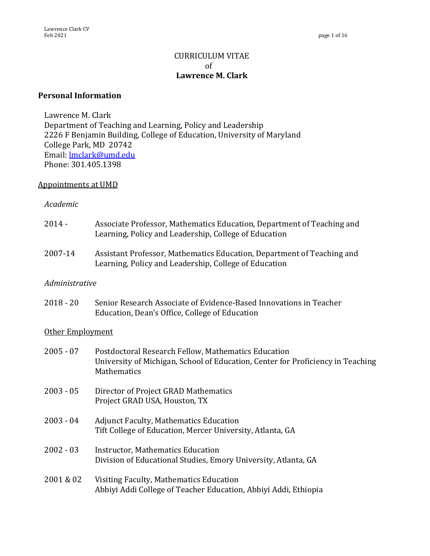# CURRICULUM VITAE of **Lawrence M. Clark**

#### **Personal Information**

Lawrence M. Clark Department of Teaching and Learning, Policy and Leadership 2226 F Benjamin Building, College of Education, University of Maryland College Park, MD 20742 Email: lmclark@umd.edu Phone: 301.405.1398

#### Appointments at UMD

#### *Academic*

- 2014 Associate Professor, Mathematics Education, Department of Teaching and Learning, Policy and Leadership, College of Education
- 2007-14 Assistant Professor, Mathematics Education, Department of Teaching and Learning, Policy and Leadership, College of Education

#### *Administrative*

2018 - 20 Senior Research Associate of Evidence-Based Innovations in Teacher Education, Dean's Office, College of Education

#### Other Employment

| $2005 - 07$ | Postdoctoral Research Fellow, Mathematics Education<br>University of Michigan, School of Education, Center for Proficiency in Teaching<br><b>Mathematics</b> |
|-------------|--------------------------------------------------------------------------------------------------------------------------------------------------------------|
| $2003 - 05$ | Director of Project GRAD Mathematics<br>Project GRAD USA, Houston, TX                                                                                        |
| $2003 - 04$ | <b>Adjunct Faculty, Mathematics Education</b><br>Tift College of Education, Mercer University, Atlanta, GA                                                   |
| $2002 - 03$ | Instructor, Mathematics Education<br>Division of Educational Studies, Emory University, Atlanta, GA                                                          |
| 2001 & 02   | Visiting Faculty, Mathematics Education<br>Abbiyi Addi College of Teacher Education, Abbiyi Addi, Ethiopia                                                   |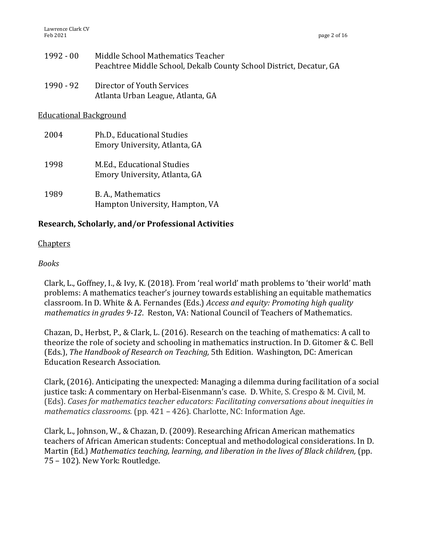- 1992 00 Middle School Mathematics Teacher Peachtree Middle School, Dekalb County School District, Decatur, GA
- 1990 92 Director of Youth Services Atlanta Urban League, Atlanta, GA

**Educational Background** 

2004 Ph.D., Educational Studies Emory University, Atlanta, GA 1998 M.Ed., Educational Studies Emory University, Atlanta, GA 1989 B.A., Mathematics Hampton University, Hampton, VA

# **Research, Scholarly, and/or Professional Activities**

### Chapters

#### *Books*

Clark, L., Goffney, I., & Ivy, K. (2018). From 'real world' math problems to 'their world' math problems: A mathematics teacher's journey towards establishing an equitable mathematics classroom. In D. White & A. Fernandes (Eds.) *Access and equity: Promoting high quality mathematics in grades 9-12.* Reston, VA: National Council of Teachers of Mathematics.

Chazan, D., Herbst, P., & Clark, L. (2016). Research on the teaching of mathematics: A call to theorize the role of society and schooling in mathematics instruction. In D. Gitomer & C. Bell (Eds.), *The Handbook of Research on Teaching*, 5th Edition. Washington, DC: American Education Research Association.

Clark, (2016). Anticipating the unexpected: Managing a dilemma during facilitation of a social justice task: A commentary on Herbal-Eisenmann's case. D. White, S. Crespo & M. Civil, M. (Eds). *Cases for mathematics teacher educators: Facilitating conversations about inequities in mathematics classrooms.* (pp. 421 – 426). Charlotte, NC: Information Age.

Clark, L., Johnson, W., & Chazan, D. (2009). Researching African American mathematics teachers of African American students: Conceptual and methodological considerations. In D. Martin (Ed.) Mathematics teaching, learning, and liberation in the lives of Black children, (pp. 75 - 102). New York: Routledge.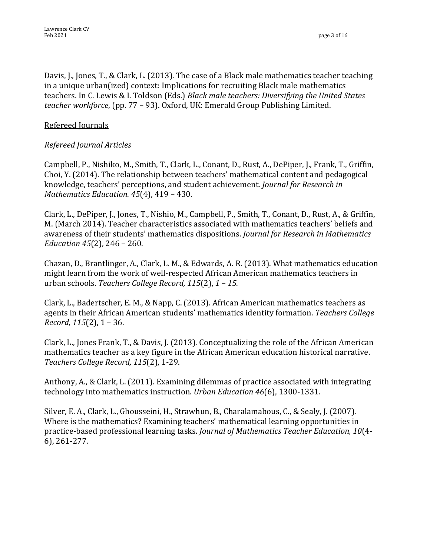Davis, J., Jones, T., & Clark, L. (2013). The case of a Black male mathematics teacher teaching in a unique urban(ized) context: Implications for recruiting Black male mathematics teachers. In C. Lewis & I. Toldson (Eds.) *Black male teachers: Diversifying the United States teacher workforce*, (pp. 77 - 93). Oxford, UK: Emerald Group Publishing Limited.

# Refereed Journals

# *Refereed Journal Articles*

Campbell, P., Nishiko, M., Smith, T., Clark, L., Conant, D., Rust, A., DePiper, J., Frank, T., Griffin, Choi, Y.  $(2014)$ . The relationship between teachers' mathematical content and pedagogical knowledge, teachers' perceptions, and student achievement. *Journal for Research in Mathematics Education.* 45(4), 419 - 430.

Clark, L., DePiper, J., Jones, T., Nishio, M., Campbell, P., Smith, T., Conant, D., Rust, A., & Griffin, M. (March 2014). Teacher characteristics associated with mathematics teachers' beliefs and awareness of their students' mathematics dispositions. *Journal for Research in Mathematics Education* 45(2), 246 - 260.

Chazan, D., Brantlinger, A., Clark, L. M., & Edwards, A. R. (2013). What mathematics education might learn from the work of well-respected African American mathematics teachers in urban schools. *Teachers College Record, 115*(2), 1 – 15.

Clark, L., Badertscher, E. M., & Napp, C. (2013). African American mathematics teachers as agents in their African American students' mathematics identity formation. Teachers College *Record,* 115(2), 1 – 36.

Clark, L., Jones Frank, T., & Davis, J. (2013). Conceptualizing the role of the African American mathematics teacher as a key figure in the African American education historical narrative. *Teachers College Record, 115*(2), 1-29.

Anthony, A., & Clark, L. (2011). Examining dilemmas of practice associated with integrating technology into mathematics instruction. *Urban Education* 46(6), 1300-1331.

Silver, E. A., Clark, L., Ghousseini, H., Strawhun, B., Charalamabous, C., & Sealy, J. (2007). Where is the mathematics? Examining teachers' mathematical learning opportunities in practice-based professional learning tasks. *Journal of Mathematics Teacher Education*, 10(4-6), 261-277.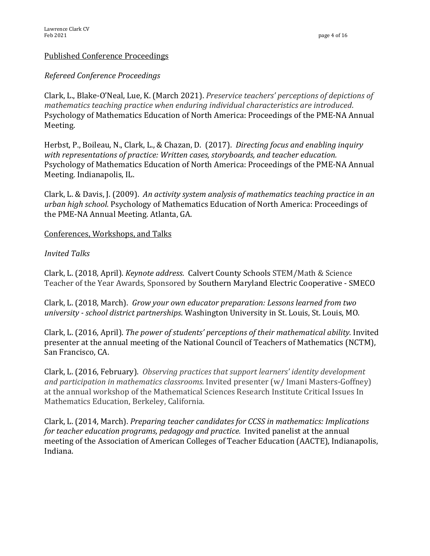### **Published Conference Proceedings**

## *Refereed Conference Proceedings*

Clark, L., Blake-O'Neal, Lue, K. (March 2021). *Preservice teachers' perceptions of depictions of mathematics teaching practice when enduring individual characteristics are introduced.* Psychology of Mathematics Education of North America: Proceedings of the PME-NA Annual Meeting.

Herbst, P., Boileau, N., Clark, L., & Chazan, D. (2017). *Directing focus and enabling inquiry* with representations of practice: Written cases, storyboards, and teacher education. Psychology of Mathematics Education of North America: Proceedings of the PME-NA Annual Meeting. Indianapolis, IL.

Clark, L. & Davis, J. (2009). An activity system analysis of mathematics teaching practice in an urban high school. Psychology of Mathematics Education of North America: Proceedings of the PME-NA Annual Meeting. Atlanta, GA.

#### Conferences, Workshops, and Talks

### *Invited Talks*

Clark, L. (2018, April). *Keynote address*. Calvert County Schools STEM/Math & Science Teacher of the Year Awards, Sponsored by Southern Maryland Electric Cooperative - SMECO

Clark, L. (2018, March). *Grow your own educator preparation: Lessons learned from two university* - *school district partnerships*. Washington University in St. Louis, St. Louis, MO.

Clark, L. (2016, April). *The power of students' perceptions of their mathematical ability.* Invited presenter at the annual meeting of the National Council of Teachers of Mathematics (NCTM), San Francisco, CA.

Clark, L. (2016, February). *Observing practices that support learners' identity development and participation in mathematics classrooms.* Invited presenter  $(w / \text{I} \text{mani} \text{ Masters-Goffney})$ at the annual workshop of the Mathematical Sciences Research Institute Critical Issues In Mathematics Education, Berkeley, California.

Clark, L. (2014, March). *Preparing teacher candidates for CCSS in mathematics: Implications for teacher education programs, pedagogy and practice.* Invited panelist at the annual meeting of the Association of American Colleges of Teacher Education (AACTE), Indianapolis, Indiana.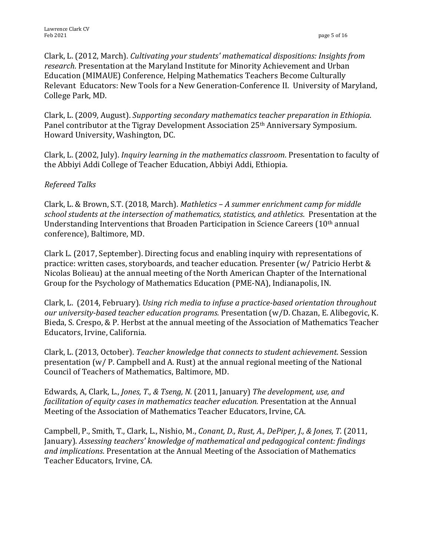Clark, L. (2012, March). *Cultivating your students' mathematical dispositions: Insights from* research. Presentation at the Maryland Institute for Minority Achievement and Urban Education (MIMAUE) Conference, Helping Mathematics Teachers Become Culturally Relevant Educators: New Tools for a New Generation-Conference II. University of Maryland, College Park, MD.

Clark, L. (2009, August). *Supporting secondary mathematics teacher preparation in Ethiopia*. Panel contributor at the Tigray Development Association 25<sup>th</sup> Anniversary Symposium. Howard University, Washington, DC.

Clark, L. (2002, July). *Inquiry learning in the mathematics classroom*. Presentation to faculty of the Abbiyi Addi College of Teacher Education, Abbiyi Addi, Ethiopia.

# *Refereed Talks*

Clark, L. & Brown, S.T. (2018, March). *Mathletics* - *A* summer enrichment camp for middle school students at the intersection of mathematics, statistics, and athletics. Presentation at the Understanding Interventions that Broaden Participation in Science Careers  $(10<sup>th</sup>$  annual conference), Baltimore, MD.

Clark L. (2017, September). Directing focus and enabling inquiry with representations of practice: written cases, storyboards, and teacher education. Presenter (w/ Patricio Herbt & Nicolas Bolieau) at the annual meeting of the North American Chapter of the International Group for the Psychology of Mathematics Education (PME-NA), Indianapolis, IN.

Clark, L. (2014, February). *Using rich media to infuse a practice-based orientation throughout our university-based teacher education programs.* Presentation (w/D. Chazan, E. Alibegovic, K. Bieda, S. Crespo, & P. Herbst at the annual meeting of the Association of Mathematics Teacher Educators, Irvine, California.

Clark, L. (2013, October). *Teacher knowledge that connects to student achievement*. Session presentation  $(w/$  P. Campbell and A. Rust) at the annual regional meeting of the National Council of Teachers of Mathematics, Baltimore, MD.

Edwards, A, Clark, L., *Jones, T., & Tseng, N.* (2011, January) *The development, use, and facilitation of equity cases in mathematics teacher education.* Presentation at the Annual Meeting of the Association of Mathematics Teacher Educators, Irvine, CA.

Campbell, P., Smith, T., Clark, L., Nishio, M., *Conant, D., Rust, A., DePiper, J., & Jones, T.* (2011, January). *Assessing teachers' knowledge of mathematical and pedagogical content: findings* and *implications*. Presentation at the Annual Meeting of the Association of Mathematics Teacher Educators, Irvine, CA.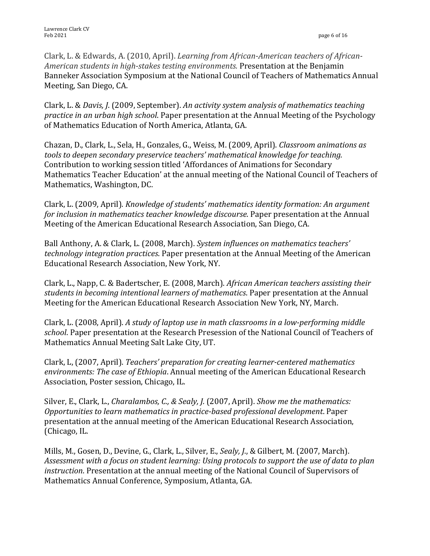Clark, L. & Edwards, A. (2010, April). *Learning from African-American teachers of African-*American students in high-stakes testing environments. Presentation at the Benjamin Banneker Association Symposium at the National Council of Teachers of Mathematics Annual Meeting, San Diego, CA.

Clark, L. & *Davis, J.* (2009, September). *An activity system analysis of mathematics teaching practice in an urban high school*. Paper presentation at the Annual Meeting of the Psychology of Mathematics Education of North America, Atlanta, GA.

Chazan, D., Clark, L., Sela, H., Gonzales, G., Weiss, M. (2009, April). *Classroom animations as tools* to deepen secondary preservice teachers' mathematical knowledge for teaching. Contribution to working session titled 'Affordances of Animations for Secondary Mathematics Teacher Education' at the annual meeting of the National Council of Teachers of Mathematics, Washington, DC.

Clark, L. (2009, April). *Knowledge of students' mathematics identity formation: An argument for inclusion in mathematics teacher knowledge discourse*. Paper presentation at the Annual Meeting of the American Educational Research Association, San Diego, CA.

Ball Anthony, A. & Clark, L. (2008, March). *System influences on mathematics teachers' technology integration practices*. Paper presentation at the Annual Meeting of the American Educational Research Association, New York, NY.

Clark, L., Napp, C. & Badertscher, E. (2008, March). *African American teachers assisting their* students in becoming intentional learners of mathematics. Paper presentation at the Annual Meeting for the American Educational Research Association New York, NY, March.

Clark, L. (2008, April). *A study of laptop use in math classrooms in a low-performing middle* school. Paper presentation at the Research Presession of the National Council of Teachers of Mathematics Annual Meeting Salt Lake City, UT.

Clark, L, (2007, April). *Teachers' preparation for creating learner-centered mathematics environments: The case of Ethiopia*. Annual meeting of the American Educational Research Association, Poster session, Chicago, IL.

Silver, E., Clark, L., *Charalambos, C., & Sealy, J.* (2007, April). *Show me the mathematics: Opportunities to learn mathematics in practice-based professional development.* Paper presentation at the annual meeting of the American Educational Research Association, (Chicago, IL.

Mills, M., Gosen, D., Devine, G., Clark, L., Silver, E., *Sealy, J.*, & Gilbert, M. (2007, March). Assessment with a focus on student learning: Using protocols to support the use of data to plan *instruction*. Presentation at the annual meeting of the National Council of Supervisors of Mathematics Annual Conference, Symposium, Atlanta, GA.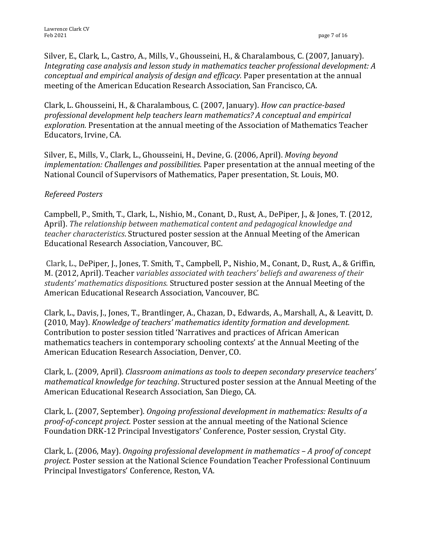Silver, E., Clark, L., Castro, A., Mills, V., Ghousseini, H., & Charalambous, C. (2007, January). *Integrating case analysis and lesson study in mathematics teacher professional development: A conceptual and empirical analysis of design and efficacy.* Paper presentation at the annual meeting of the American Education Research Association, San Francisco, CA.

Clark, L. Ghousseini, H., & Charalambous, C. (2007, January). *How can practice-based* professional development help teachers learn mathematics? A conceptual and empirical *exploration.* Presentation at the annual meeting of the Association of Mathematics Teacher Educators, Irvine, CA.

Silver, E., Mills, V., Clark, L., Ghousseini, H., Devine, G. (2006, April). *Moving beyond implementation: Challenges and possibilities.* Paper presentation at the annual meeting of the National Council of Supervisors of Mathematics, Paper presentation, St. Louis, MO.

# *Refereed Posters*

Campbell, P., Smith, T., Clark, L., Nishio, M., Conant, D., Rust, A., DePiper, J., & Jones, T. (2012, April). The relationship between mathematical content and pedagogical knowledge and *teacher characteristics*. Structured poster session at the Annual Meeting of the American Educational Research Association, Vancouver, BC.

Clark, L., DePiper, J., Jones, T. Smith, T., Campbell, P., Nishio, M., Conant, D., Rust, A., & Griffin, M. (2012, April). Teacher variables associated with teachers' beliefs and awareness of their students' mathematics dispositions. Structured poster session at the Annual Meeting of the American Educational Research Association, Vancouver, BC.

Clark, L., Davis, J., Jones, T., Brantlinger, A., Chazan, D., Edwards, A., Marshall, A., & Leavitt, D. (2010, May). *Knowledge of teachers' mathematics identity formation and development.* Contribution to poster session titled 'Narratives and practices of African American mathematics teachers in contemporary schooling contexts' at the Annual Meeting of the American Education Research Association, Denver, CO.

Clark, L. (2009, April). *Classroom animations as tools to deepen secondary preservice teachers' mathematical knowledge for teaching*. Structured poster session at the Annual Meeting of the American Educational Research Association, San Diego, CA.

Clark, L. (2007, September). *Ongoing professional development in mathematics: Results of a proof-of-concept project.* Poster session at the annual meeting of the National Science Foundation DRK-12 Principal Investigators' Conference, Poster session, Crystal City.

Clark, L. (2006, May). *Ongoing professional development in mathematics* – *A proof of concept project.* Poster session at the National Science Foundation Teacher Professional Continuum Principal Investigators' Conference, Reston, VA.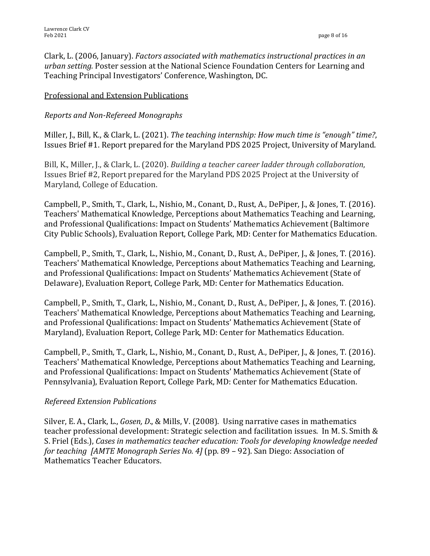Clark, L. (2006, January). *Factors associated with mathematics instructional practices in an* urban setting. Poster session at the National Science Foundation Centers for Learning and Teaching Principal Investigators' Conference, Washington, DC.

# Professional and Extension Publications

# *Reports and Non-Refereed Monographs*

Miller, J., Bill, K., & Clark, L. (2021). *The teaching internship: How much time is "enough" time?*, Issues Brief #1. Report prepared for the Maryland PDS 2025 Project, University of Maryland.

Bill, K., Miller, J., & Clark, L. (2020). *Building a teacher career ladder through collaboration*, Issues Brief #2, Report prepared for the Maryland PDS 2025 Project at the University of Maryland, College of Education.

Campbell, P., Smith, T., Clark, L., Nishio, M., Conant, D., Rust, A., DePiper, J., & Jones, T. (2016). Teachers' Mathematical Knowledge, Perceptions about Mathematics Teaching and Learning, and Professional Qualifications: Impact on Students' Mathematics Achievement (Baltimore City Public Schools), Evaluation Report, College Park, MD: Center for Mathematics Education.

Campbell, P., Smith, T., Clark, L., Nishio, M., Conant, D., Rust, A., DePiper, J., & Jones, T. (2016). Teachers' Mathematical Knowledge, Perceptions about Mathematics Teaching and Learning, and Professional Qualifications: Impact on Students' Mathematics Achievement (State of Delaware), Evaluation Report, College Park, MD: Center for Mathematics Education.

Campbell, P., Smith, T., Clark, L., Nishio, M., Conant, D., Rust, A., DePiper, J., & Jones, T. (2016). Teachers' Mathematical Knowledge, Perceptions about Mathematics Teaching and Learning, and Professional Qualifications: Impact on Students' Mathematics Achievement (State of Maryland), Evaluation Report, College Park, MD: Center for Mathematics Education.

Campbell, P., Smith, T., Clark, L., Nishio, M., Conant, D., Rust, A., DePiper, J., & Jones, T. (2016). Teachers' Mathematical Knowledge, Perceptions about Mathematics Teaching and Learning, and Professional Qualifications: Impact on Students' Mathematics Achievement (State of Pennsylvania), Evaluation Report, College Park, MD: Center for Mathematics Education.

# *Refereed Extension Publications*

Silver, E. A., Clark, L., *Gosen, D.*, & Mills, V. (2008). Using narrative cases in mathematics teacher professional development: Strategic selection and facilitation issues. In M. S. Smith & S. Friel (Eds.), *Cases in mathematics teacher education: Tools for developing knowledge needed for teaching [AMTE Monograph Series No. 4]* (pp. 89 – 92). San Diego: Association of Mathematics Teacher Educators.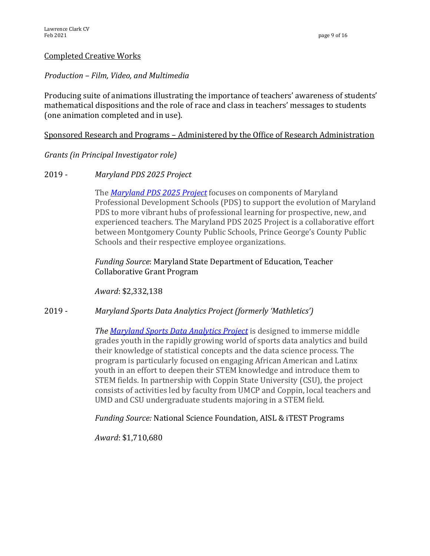#### **Completed Creative Works**

#### *Production – Film, Video, and Multimedia*

Producing suite of animations illustrating the importance of teachers' awareness of students' mathematical dispositions and the role of race and class in teachers' messages to students (one animation completed and in use).

#### Sponsored Research and Programs - Administered by the Office of Research Administration

*Grants (in Principal Investigator role)*

#### 2019 - *Maryland PDS 2025 Project*

The **Maryland PDS 2025 Project** focuses on components of Maryland Professional Development Schools (PDS) to support the evolution of Maryland PDS to more vibrant hubs of professional learning for prospective, new, and experienced teachers. The Maryland PDS 2025 Project is a collaborative effort between Montgomery County Public Schools, Prince George's County Public Schools and their respective employee organizations.

## Funding Source: Maryland State Department of Education, Teacher Collaborative Grant Program

*Award*: \$2,332,138

#### 2019 - *Maryland Sports Data Analytics Project (formerly 'Mathletics')*

*The Maryland Sports Data Analytics Project* is designed to immerse middle grades youth in the rapidly growing world of sports data analytics and build their knowledge of statistical concepts and the data science process. The program is particularly focused on engaging African American and Latinx youth in an effort to deepen their STEM knowledge and introduce them to STEM fields. In partnership with Coppin State University (CSU), the project consists of activities led by faculty from UMCP and Coppin, local teachers and UMD and CSU undergraduate students majoring in a STEM field.

#### *Funding Source:* National Science Foundation, AISL & iTEST Programs

*Award*: \$1,710,680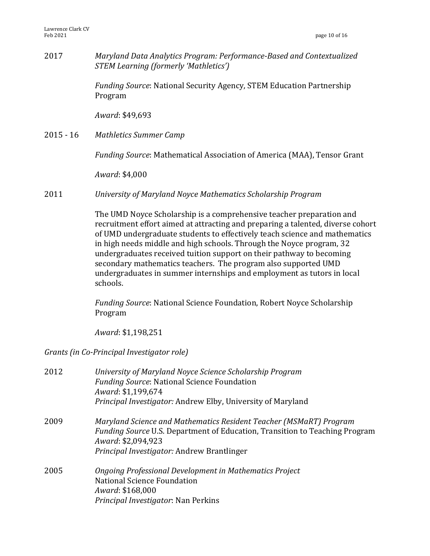2017 *Maryland Data Analytics Program: Performance-Based and Contextualized STEM Learning (formerly 'Mathletics')*

> *Funding Source*: National Security Agency, STEM Education Partnership Program

*Award*: \$49,693

2015 - 16 Mathletics Summer Camp

*Funding Source*: Mathematical Association of America (MAA), Tensor Grant

*Award*: \$4,000

2011 *University of Maryland Noyce Mathematics Scholarship Program*

The UMD Noyce Scholarship is a comprehensive teacher preparation and recruitment effort aimed at attracting and preparing a talented, diverse cohort of UMD undergraduate students to effectively teach science and mathematics in high needs middle and high schools. Through the Noyce program, 32 undergraduates received tuition support on their pathway to becoming secondary mathematics teachers. The program also supported UMD undergraduates in summer internships and employment as tutors in local schools. 

*Funding Source*: National Science Foundation, Robert Noyce Scholarship Program

*Award*: \$1,198,251 

*Grants (in Co-Principal Investigator role)*

| 2012 | University of Maryland Noyce Science Scholarship Program<br><b>Funding Source: National Science Foundation</b><br>Award: \$1,199,674<br>Principal Investigator: Andrew Elby, University of Maryland                          |
|------|------------------------------------------------------------------------------------------------------------------------------------------------------------------------------------------------------------------------------|
| 2009 | Maryland Science and Mathematics Resident Teacher (MSMaRT) Program<br><i>Funding Source U.S. Department of Education, Transition to Teaching Program</i><br>Award: \$2,094,923<br>Principal Investigator: Andrew Brantlinger |
| 2005 | Ongoing Professional Development in Mathematics Project<br>National Science Foundation<br>Award: \$168,000<br>Principal Investigator: Nan Perkins                                                                            |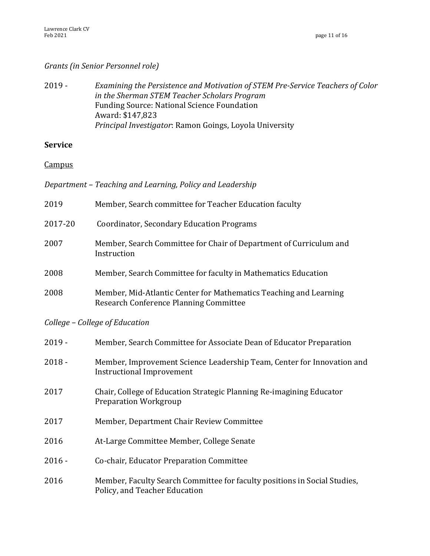# *Grants (in Senior Personnel role)*

2019 - *Examining the Persistence and Motivation of STEM Pre-Service Teachers of Color in the Sherman STEM Teacher Scholars Program* Funding Source: National Science Foundation Award: \$147,823 *Principal Investigator: Ramon Goings, Loyola University* 

# **Service**

**Campus** 

|  |  |  | Department - Teaching and Learning, Policy and Leadership |
|--|--|--|-----------------------------------------------------------|
|  |  |  |                                                           |

2019 Member, Search committee for Teacher Education faculty

2017-20 Coordinator, Secondary Education Programs 2007 Member, Search Committee for Chair of Department of Curriculum and Instruction 2008 Member, Search Committee for faculty in Mathematics Education 2008 Member, Mid-Atlantic Center for Mathematics Teaching and Learning Research Conference Planning Committee

*College – College of Education*

| $2019 -$ | Member, Search Committee for Associate Dean of Educator Preparation                                        |
|----------|------------------------------------------------------------------------------------------------------------|
| $2018 -$ | Member, Improvement Science Leadership Team, Center for Innovation and<br><b>Instructional Improvement</b> |
| 2017     | Chair, College of Education Strategic Planning Re-imagining Educator<br><b>Preparation Workgroup</b>       |
| 2017     | Member, Department Chair Review Committee                                                                  |
| 2016     | At-Large Committee Member, College Senate                                                                  |
| $2016 -$ | Co-chair, Educator Preparation Committee                                                                   |
| 2016     | Member, Faculty Search Committee for faculty positions in Social Studies,<br>Policy, and Teacher Education |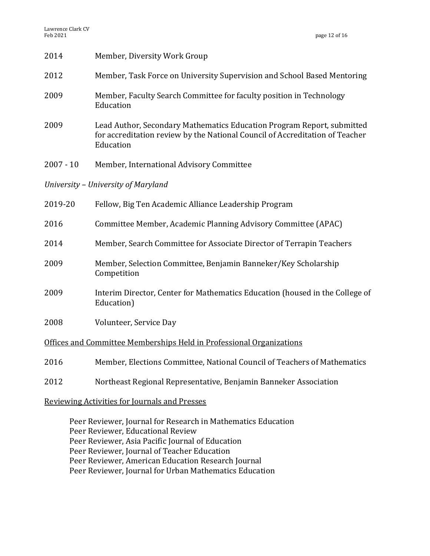| 2014        | Member, Diversity Work Group                                                                                                                                        |  |  |
|-------------|---------------------------------------------------------------------------------------------------------------------------------------------------------------------|--|--|
| 2012        | Member, Task Force on University Supervision and School Based Mentoring                                                                                             |  |  |
| 2009        | Member, Faculty Search Committee for faculty position in Technology<br>Education                                                                                    |  |  |
| 2009        | Lead Author, Secondary Mathematics Education Program Report, submitted<br>for accreditation review by the National Council of Accreditation of Teacher<br>Education |  |  |
| $2007 - 10$ | Member, International Advisory Committee                                                                                                                            |  |  |
|             | University - University of Maryland                                                                                                                                 |  |  |
| 2019-20     | Fellow, Big Ten Academic Alliance Leadership Program                                                                                                                |  |  |
| 2016        | Committee Member, Academic Planning Advisory Committee (APAC)                                                                                                       |  |  |
| 2014        | Member, Search Committee for Associate Director of Terrapin Teachers                                                                                                |  |  |
| 2009        | Member, Selection Committee, Benjamin Banneker/Key Scholarship<br>Competition                                                                                       |  |  |
| 2009        | Interim Director, Center for Mathematics Education (housed in the College of<br>Education)                                                                          |  |  |
| 2008        | Volunteer, Service Day                                                                                                                                              |  |  |
|             | Offices and Committee Memberships Held in Professional Organizations                                                                                                |  |  |
| 2016        | Member, Elections Committee, National Council of Teachers of Mathematics                                                                                            |  |  |
| 2012        | Northeast Regional Representative, Benjamin Banneker Association                                                                                                    |  |  |
|             | <b>Reviewing Activities for Journals and Presses</b>                                                                                                                |  |  |

Peer Reviewer, Journal for Research in Mathematics Education Peer Reviewer, Educational Review Peer Reviewer, Asia Pacific Journal of Education Peer Reviewer, Journal of Teacher Education Peer Reviewer, American Education Research Journal Peer Reviewer, Journal for Urban Mathematics Education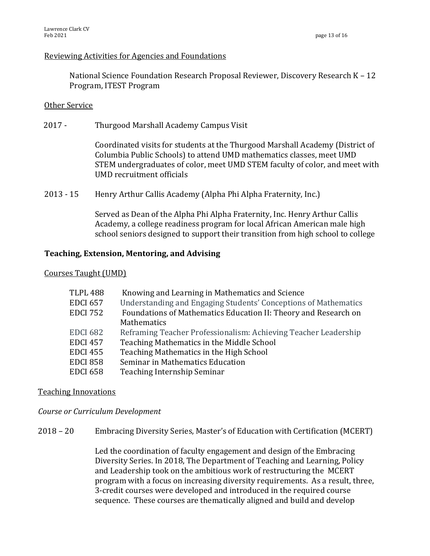### Reviewing Activities for Agencies and Foundations

National Science Foundation Research Proposal Reviewer, Discovery Research  $K - 12$ Program, ITEST Program

### Other Service

2017 - Thurgood Marshall Academy Campus Visit

Coordinated visits for students at the Thurgood Marshall Academy (District of Columbia Public Schools) to attend UMD mathematics classes, meet UMD STEM undergraduates of color, meet UMD STEM faculty of color, and meet with UMD recruitment officials

2013 - 15 Henry Arthur Callis Academy (Alpha Phi Alpha Fraternity, Inc.)

Served as Dean of the Alpha Phi Alpha Fraternity, Inc. Henry Arthur Callis Academy, a college readiness program for local African American male high school seniors designed to support their transition from high school to college

### **Teaching, Extension, Mentoring, and Advising**

#### Courses Taught (UMD)

| TLPL 488        | Knowing and Learning in Mathematics and Science                 |
|-----------------|-----------------------------------------------------------------|
| EDCI 657        | Understanding and Engaging Students' Conceptions of Mathematics |
| EDCI 752        | Foundations of Mathematics Education II: Theory and Research on |
|                 | <b>Mathematics</b>                                              |
| EDCI 682        | Reframing Teacher Professionalism: Achieving Teacher Leadership |
| <b>EDCI 457</b> | Teaching Mathematics in the Middle School                       |
| EDCI 455        | Teaching Mathematics in the High School                         |
| EDCI 858        | Seminar in Mathematics Education                                |
| EDCI 658        | Teaching Internship Seminar                                     |

# **Teaching Innovations**

*Course or Curriculum Development*

2018 – 20 Embracing Diversity Series, Master's of Education with Certification (MCERT)

Led the coordination of faculty engagement and design of the Embracing Diversity Series. In 2018, The Department of Teaching and Learning, Policy and Leadership took on the ambitious work of restructuring the MCERT program with a focus on increasing diversity requirements. As a result, three, 3-credit courses were developed and introduced in the required course sequence. These courses are thematically aligned and build and develop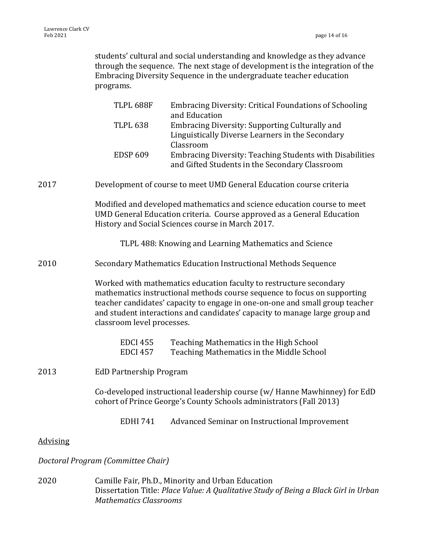students' cultural and social understanding and knowledge as they advance through the sequence. The next stage of development is the integration of the Embracing Diversity Sequence in the undergraduate teacher education programs.

|                 | TLPL 688F                                                                                                                                                                                                                                                                                                                                   | <b>Embracing Diversity: Critical Foundations of Schooling</b>                                                                                                                                          |
|-----------------|---------------------------------------------------------------------------------------------------------------------------------------------------------------------------------------------------------------------------------------------------------------------------------------------------------------------------------------------|--------------------------------------------------------------------------------------------------------------------------------------------------------------------------------------------------------|
|                 | <b>TLPL 638</b>                                                                                                                                                                                                                                                                                                                             | and Education<br><b>Embracing Diversity: Supporting Culturally and</b><br>Linguistically Diverse Learners in the Secondary                                                                             |
|                 | <b>EDSP 609</b>                                                                                                                                                                                                                                                                                                                             | Classroom<br>Embracing Diversity: Teaching Students with Disabilities<br>and Gifted Students in the Secondary Classroom                                                                                |
| 2017            |                                                                                                                                                                                                                                                                                                                                             | Development of course to meet UMD General Education course criteria                                                                                                                                    |
|                 |                                                                                                                                                                                                                                                                                                                                             | Modified and developed mathematics and science education course to meet<br>UMD General Education criteria. Course approved as a General Education<br>History and Social Sciences course in March 2017. |
|                 |                                                                                                                                                                                                                                                                                                                                             | TLPL 488: Knowing and Learning Mathematics and Science                                                                                                                                                 |
| 2010            |                                                                                                                                                                                                                                                                                                                                             | Secondary Mathematics Education Instructional Methods Sequence                                                                                                                                         |
|                 | Worked with mathematics education faculty to restructure secondary<br>mathematics instructional methods course sequence to focus on supporting<br>teacher candidates' capacity to engage in one-on-one and small group teacher<br>and student interactions and candidates' capacity to manage large group and<br>classroom level processes. |                                                                                                                                                                                                        |
|                 | <b>EDCI 455</b><br><b>EDCI 457</b>                                                                                                                                                                                                                                                                                                          | Teaching Mathematics in the High School<br>Teaching Mathematics in the Middle School                                                                                                                   |
| 2013            | <b>EdD Partnership Program</b>                                                                                                                                                                                                                                                                                                              |                                                                                                                                                                                                        |
|                 |                                                                                                                                                                                                                                                                                                                                             | Co-developed instructional leadership course (w/ Hanne Mawhinney) for EdD<br>cohort of Prince George's County Schools administrators (Fall 2013)                                                       |
|                 | <b>EDHI 741</b>                                                                                                                                                                                                                                                                                                                             | Advanced Seminar on Instructional Improvement                                                                                                                                                          |
| <b>Advising</b> |                                                                                                                                                                                                                                                                                                                                             |                                                                                                                                                                                                        |
|                 | Doctoral Program (Committee Chair)                                                                                                                                                                                                                                                                                                          |                                                                                                                                                                                                        |
|                 |                                                                                                                                                                                                                                                                                                                                             |                                                                                                                                                                                                        |

2020 Camille Fair, Ph.D., Minority and Urban Education Dissertation Title: Place Value: A Qualitative Study of Being a Black Girl in Urban *Mathematics Classrooms*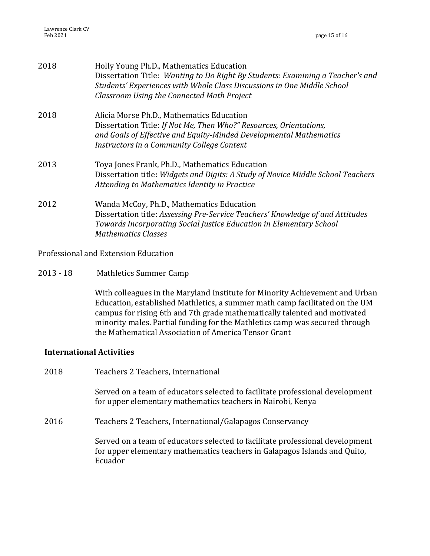| 2018 | Holly Young Ph.D., Mathematics Education<br>Dissertation Title: Wanting to Do Right By Students: Examining a Teacher's and<br>Students' Experiences with Whole Class Discussions in One Middle School<br>Classroom Using the Connected Math Project |
|------|-----------------------------------------------------------------------------------------------------------------------------------------------------------------------------------------------------------------------------------------------------|
| 2018 | Alicia Morse Ph.D., Mathematics Education<br>Dissertation Title: If Not Me, Then Who?" Resources, Orientations,<br>and Goals of Effective and Equity-Minded Developmental Mathematics<br>Instructors in a Community College Context                 |
| 2013 | Toya Jones Frank, Ph.D., Mathematics Education<br>Dissertation title: Widgets and Digits: A Study of Novice Middle School Teachers<br>Attending to Mathematics Identity in Practice                                                                 |
| 2012 | Wanda McCoy, Ph.D., Mathematics Education<br>Dissertation title: Assessing Pre-Service Teachers' Knowledge of and Attitudes<br>Towards Incorporating Social Justice Education in Elementary School<br><b>Mathematics Classes</b>                    |

### Professional and Extension Education

2013 - 18 Mathletics Summer Camp

With colleagues in the Maryland Institute for Minority Achievement and Urban Education, established Mathletics, a summer math camp facilitated on the UM campus for rising 6th and 7th grade mathematically talented and motivated minority males. Partial funding for the Mathletics camp was secured through the Mathematical Association of America Tensor Grant

# **International Activities**

- 2018 Teachers 2 Teachers, International Served on a team of educators selected to facilitate professional development for upper elementary mathematics teachers in Nairobi, Kenya
- 2016 Teachers 2 Teachers, International/Galapagos Conservancy

Served on a team of educators selected to facilitate professional development for upper elementary mathematics teachers in Galapagos Islands and Quito, Ecuador